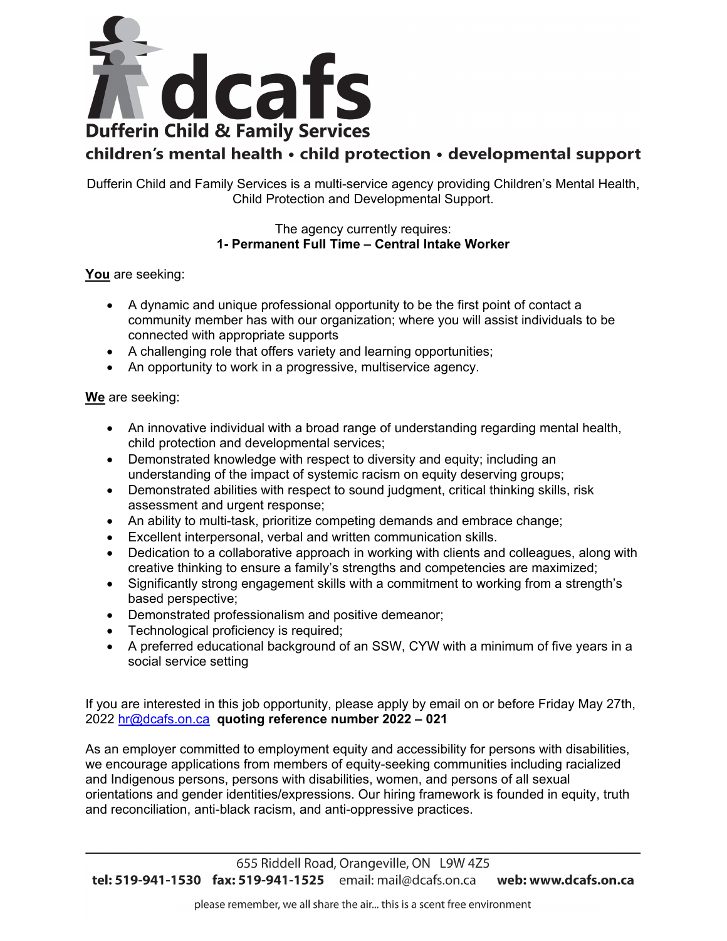

## children's mental health · child protection · developmental support

Dufferin Child and Family Services is a multi-service agency providing Children's Mental Health, Child Protection and Developmental Support.

## The agency currently requires: **1- Permanent Full Time – Central Intake Worker**

**You** are seeking:

- A dynamic and unique professional opportunity to be the first point of contact a community member has with our organization; where you will assist individuals to be connected with appropriate supports
- A challenging role that offers variety and learning opportunities;
- An opportunity to work in a progressive, multiservice agency.

## **We** are seeking:

- An innovative individual with a broad range of understanding regarding mental health, child protection and developmental services;
- Demonstrated knowledge with respect to diversity and equity; including an understanding of the impact of systemic racism on equity deserving groups;
- Demonstrated abilities with respect to sound judgment, critical thinking skills, risk assessment and urgent response;
- An ability to multi-task, prioritize competing demands and embrace change;
- Excellent interpersonal, verbal and written communication skills.
- Dedication to a collaborative approach in working with clients and colleagues, along with creative thinking to ensure a family's strengths and competencies are maximized;
- Significantly strong engagement skills with a commitment to working from a strength's based perspective;
- Demonstrated professionalism and positive demeanor;
- Technological proficiency is required;
- A preferred educational background of an SSW, CYW with a minimum of five years in a social service setting

If you are interested in this job opportunity, please apply by email on or before Friday May 27th, 2022 [hr@dcafs.on.ca](mailto:hr@dcafs.on.ca) **quoting reference number 2022 – 021**

As an employer committed to employment equity and accessibility for persons with disabilities, we encourage applications from members of equity-seeking communities including racialized and Indigenous persons, persons with disabilities, women, and persons of all sexual orientations and gender identities/expressions. Our hiring framework is founded in equity, truth and reconciliation, anti-black racism, and anti-oppressive practices.